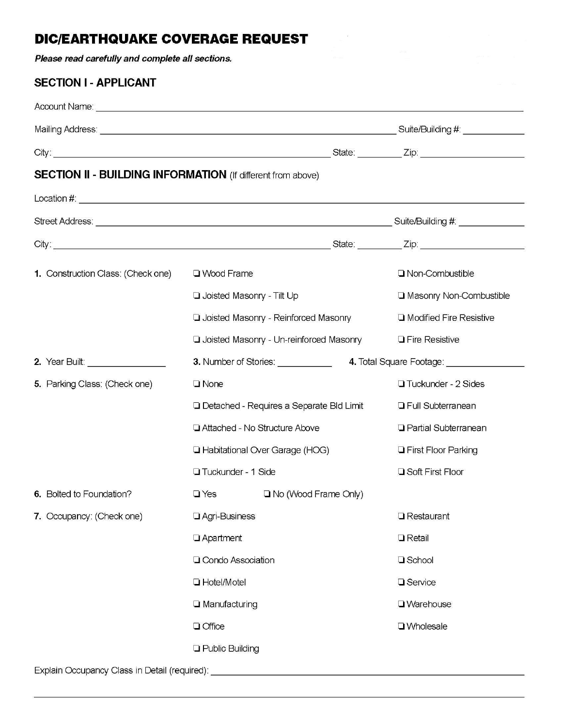## **DIC/EARTHQUAKE COVERAGE REQUEST**

Please read carefully and complete all sections.

## **SECTION I - APPLICANT**

|                                                                    | Suite/Building #: ______________                     |                                   |  |  |  |  |  |  |  |  |
|--------------------------------------------------------------------|------------------------------------------------------|-----------------------------------|--|--|--|--|--|--|--|--|
|                                                                    | State: <u>Zip: Zip:</u> Zip: 210                     |                                   |  |  |  |  |  |  |  |  |
| <b>SECTION II - BUILDING INFORMATION</b> (If different from above) |                                                      |                                   |  |  |  |  |  |  |  |  |
|                                                                    |                                                      |                                   |  |  |  |  |  |  |  |  |
|                                                                    |                                                      | Suite/Building #: _______________ |  |  |  |  |  |  |  |  |
|                                                                    |                                                      |                                   |  |  |  |  |  |  |  |  |
| <b>1.</b> Construction Class: (Check one)                          | □ Wood Frame                                         | $\Box$ Non-Combustible            |  |  |  |  |  |  |  |  |
|                                                                    | <b>Q</b> Joisted Masonry - Tilt Up                   | □ Masonry Non-Combustible         |  |  |  |  |  |  |  |  |
|                                                                    | □ Joisted Masonry - Reinforced Masonry               | $\Box$ Modified Fire Resistive    |  |  |  |  |  |  |  |  |
|                                                                    | <b>Q</b> Joisted Masonry - Un-reinforced Masonry     | <b>T</b> Fire Resistive           |  |  |  |  |  |  |  |  |
| <b>2.</b> Year Built: <u>_______________</u>                       | <b>3. Number of Stories:</b> The Manuson of Stories: | 4. Total Square Footage:          |  |  |  |  |  |  |  |  |
| 5. Parking Class: (Check one)                                      | $\Box$ None                                          | □ Tuckunder - 2 Sides             |  |  |  |  |  |  |  |  |

|                                                                                   | □ Detached - Requires a Separate Bld Limit                                                                             | <b>T</b> Full Subterranean       |                              |  |  |  |  |
|-----------------------------------------------------------------------------------|------------------------------------------------------------------------------------------------------------------------|----------------------------------|------------------------------|--|--|--|--|
|                                                                                   |                                                                                                                        | □ Attached - No Structure Above  | □ Partial Subterranean       |  |  |  |  |
|                                                                                   |                                                                                                                        | □ Habitational Over Garage (HOG) | <b>T</b> First Floor Parking |  |  |  |  |
|                                                                                   | □ Tuckunder - 1 Side                                                                                                   |                                  | <b>□ Soft First Floor</b>    |  |  |  |  |
| 6. Bolted to Foundation?                                                          | $\Box$ Yes                                                                                                             | $\Box$ No (Wood Frame Only)      |                              |  |  |  |  |
| 7. Occupancy: (Check one)                                                         | □ Agri-Business<br>$\Box$ Apartment<br>□ Condo Association<br>□ Hotel/Motel<br>$\Box$ Manufacturing<br><b>Q</b> Office |                                  | $\Box$ Restaurant            |  |  |  |  |
|                                                                                   |                                                                                                                        |                                  | $\Box$ Retail                |  |  |  |  |
|                                                                                   |                                                                                                                        |                                  | $\Box$ School                |  |  |  |  |
|                                                                                   |                                                                                                                        |                                  | □ Service                    |  |  |  |  |
|                                                                                   |                                                                                                                        |                                  | □ Warehouse                  |  |  |  |  |
|                                                                                   |                                                                                                                        |                                  | <b>U</b> Wholesale           |  |  |  |  |
|                                                                                   | <b>Q</b> Public Building                                                                                               |                                  |                              |  |  |  |  |
| Explain Occupancy Class in Detail (required): ___________________________________ |                                                                                                                        |                                  |                              |  |  |  |  |